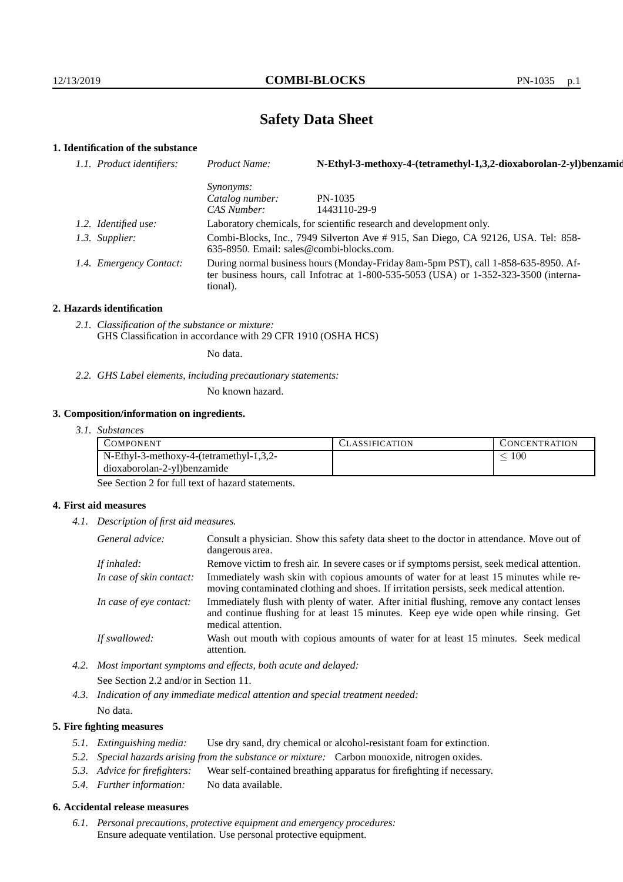# **Safety Data Sheet**

# **1. Identification of the substance**

| 1.1. Product identifiers: | Product Name:                                                                                                                                                                               | N-Ethyl-3-methoxy-4-(tetramethyl-1,3,2-dioxaborolan-2-yl)benzamid |
|---------------------------|---------------------------------------------------------------------------------------------------------------------------------------------------------------------------------------------|-------------------------------------------------------------------|
|                           | <i>Synonyms:</i>                                                                                                                                                                            |                                                                   |
|                           | Catalog number:                                                                                                                                                                             | PN-1035                                                           |
|                           | CAS Number:                                                                                                                                                                                 | 1443110-29-9                                                      |
| 1.2. Identified use:      | Laboratory chemicals, for scientific research and development only.                                                                                                                         |                                                                   |
| 1.3. Supplier:            | Combi-Blocks, Inc., 7949 Silverton Ave # 915, San Diego, CA 92126, USA. Tel: 858-<br>$635-8950$ . Email: sales@combi-blocks.com.                                                            |                                                                   |
| 1.4. Emergency Contact:   | During normal business hours (Monday-Friday 8am-5pm PST), call 1-858-635-8950. Af-<br>ter business hours, call Infotrac at $1-800-535-5053$ (USA) or $1-352-323-3500$ (interna-<br>tional). |                                                                   |

## **2. Hazards identification**

*2.1. Classification of the substance or mixture:* GHS Classification in accordance with 29 CFR 1910 (OSHA HCS)

No data.

*2.2. GHS Label elements, including precautionary statements:*

No known hazard.

## **3. Composition/information on ingredients.**

*3.1. Substances*

| COMPONENT                                  | <b>CLASSIFICATION</b> | <b>CONCENTRATION</b> |
|--------------------------------------------|-----------------------|----------------------|
| $N$ -Ethyl-3-methoxy-4-(tetramethyl-1,3,2- |                       | 100                  |
| dioxaborolan-2-yl)benzamide                |                       |                      |

See Section 2 for full text of hazard statements.

## **4. First aid measures**

*4.1. Description of first aid measures.*

| General advice:          | Consult a physician. Show this safety data sheet to the doctor in attendance. Move out of<br>dangerous area.                                                                                            |
|--------------------------|---------------------------------------------------------------------------------------------------------------------------------------------------------------------------------------------------------|
| If inhaled:              | Remove victim to fresh air. In severe cases or if symptoms persist, seek medical attention.                                                                                                             |
| In case of skin contact: | Immediately wash skin with copious amounts of water for at least 15 minutes while re-<br>moving contaminated clothing and shoes. If irritation persists, seek medical attention.                        |
| In case of eye contact:  | Immediately flush with plenty of water. After initial flushing, remove any contact lenses<br>and continue flushing for at least 15 minutes. Keep eye wide open while rinsing. Get<br>medical attention. |
| If swallowed:            | Wash out mouth with copious amounts of water for at least 15 minutes. Seek medical<br>attention.                                                                                                        |

- *4.2. Most important symptoms and effects, both acute and delayed:* See Section 2.2 and/or in Section 11.
- *4.3. Indication of any immediate medical attention and special treatment needed:* No data.

## **5. Fire fighting measures**

- *5.1. Extinguishing media:* Use dry sand, dry chemical or alcohol-resistant foam for extinction.
- *5.2. Special hazards arising from the substance or mixture:* Carbon monoxide, nitrogen oxides.
- *5.3. Advice for firefighters:* Wear self-contained breathing apparatus for firefighting if necessary.
- *5.4. Further information:* No data available.

## **6. Accidental release measures**

*6.1. Personal precautions, protective equipment and emergency procedures:* Ensure adequate ventilation. Use personal protective equipment.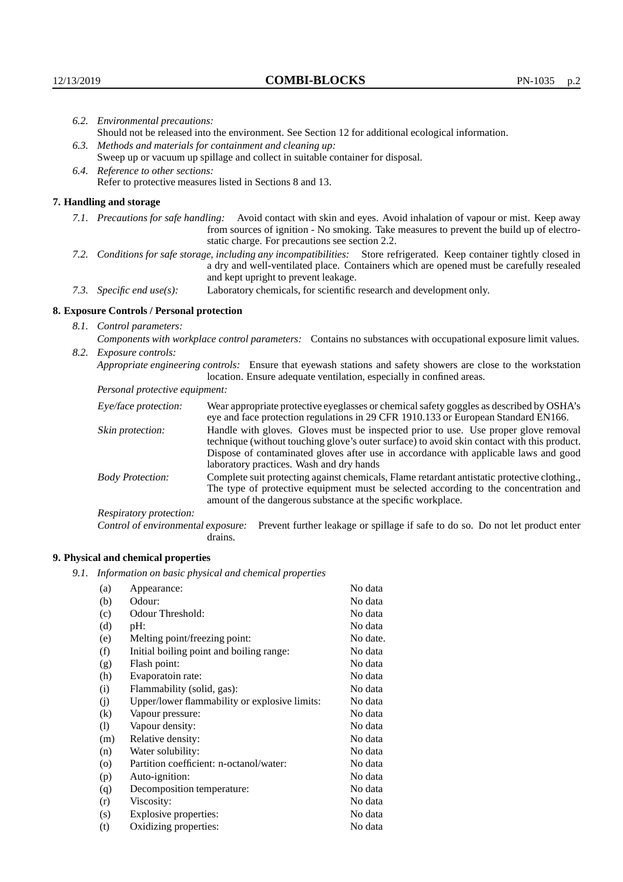| 6.2. Environmental precautions:                           |                                                                                                                                                                                                                                                            |                                                                                                                                                                                                                                                                            |  |  |
|-----------------------------------------------------------|------------------------------------------------------------------------------------------------------------------------------------------------------------------------------------------------------------------------------------------------------------|----------------------------------------------------------------------------------------------------------------------------------------------------------------------------------------------------------------------------------------------------------------------------|--|--|
|                                                           | Should not be released into the environment. See Section 12 for additional ecological information.                                                                                                                                                         |                                                                                                                                                                                                                                                                            |  |  |
|                                                           | 6.3. Methods and materials for containment and cleaning up:                                                                                                                                                                                                |                                                                                                                                                                                                                                                                            |  |  |
|                                                           |                                                                                                                                                                                                                                                            | Sweep up or vacuum up spillage and collect in suitable container for disposal.                                                                                                                                                                                             |  |  |
|                                                           | 6.4. Reference to other sections:                                                                                                                                                                                                                          |                                                                                                                                                                                                                                                                            |  |  |
| Refer to protective measures listed in Sections 8 and 13. |                                                                                                                                                                                                                                                            |                                                                                                                                                                                                                                                                            |  |  |
|                                                           | 7. Handling and storage                                                                                                                                                                                                                                    |                                                                                                                                                                                                                                                                            |  |  |
|                                                           |                                                                                                                                                                                                                                                            | 7.1. Precautions for safe handling: Avoid contact with skin and eyes. Avoid inhalation of vapour or mist. Keep away<br>from sources of ignition - No smoking. Take measures to prevent the build up of electro-<br>static charge. For precautions see section 2.2.         |  |  |
|                                                           | 7.2. Conditions for safe storage, including any incompatibilities: Store refrigerated. Keep container tightly closed in<br>a dry and well-ventilated place. Containers which are opened must be carefully resealed<br>and kept upright to prevent leakage. |                                                                                                                                                                                                                                                                            |  |  |
|                                                           | 7.3. Specific end use(s):                                                                                                                                                                                                                                  | Laboratory chemicals, for scientific research and development only.                                                                                                                                                                                                        |  |  |
|                                                           | 8. Exposure Controls / Personal protection                                                                                                                                                                                                                 |                                                                                                                                                                                                                                                                            |  |  |
|                                                           | 8.1. Control parameters:                                                                                                                                                                                                                                   |                                                                                                                                                                                                                                                                            |  |  |
|                                                           | Components with workplace control parameters: Contains no substances with occupational exposure limit values.                                                                                                                                              |                                                                                                                                                                                                                                                                            |  |  |
|                                                           | 8.2. Exposure controls:                                                                                                                                                                                                                                    |                                                                                                                                                                                                                                                                            |  |  |
|                                                           |                                                                                                                                                                                                                                                            | Appropriate engineering controls: Ensure that eyewash stations and safety showers are close to the workstation<br>location. Ensure adequate ventilation, especially in confined areas.                                                                                     |  |  |
|                                                           | <i>Personal protective equipment:</i>                                                                                                                                                                                                                      |                                                                                                                                                                                                                                                                            |  |  |
|                                                           | Eye/face protection:                                                                                                                                                                                                                                       | Wear appropriate protective eyeglasses or chemical safety goggles as described by OSHA's<br>eye and face protection regulations in 29 CFR 1910.133 or European Standard EN166.                                                                                             |  |  |
|                                                           | Skin protection:                                                                                                                                                                                                                                           | Handle with gloves. Gloves must be inspected prior to use. Use proper glove removal<br>technique (without touching glove's outer surface) to avoid skin contact with this product.<br>Dispose of contaminated gloves after use in accordance with applicable laws and good |  |  |

## **8. Exposure Controls / Personal protection**

| Eye/face protection:               | Wear appropriate protective eyeglasses or chemical safety goggles as described by OSHA's<br>eye and face protection regulations in 29 CFR 1910.133 or European Standard EN166.                                                                                                                                         |
|------------------------------------|------------------------------------------------------------------------------------------------------------------------------------------------------------------------------------------------------------------------------------------------------------------------------------------------------------------------|
| Skin protection:                   | Handle with gloves. Gloves must be inspected prior to use. Use proper glove removal<br>technique (without touching glove's outer surface) to avoid skin contact with this product.<br>Dispose of contaminated gloves after use in accordance with applicable laws and good<br>laboratory practices. Wash and dry hands |
| <b>Body Protection:</b>            | Complete suit protecting against chemicals, Flame retardant antistatic protective clothing.,<br>The type of protective equipment must be selected according to the concentration and<br>amount of the dangerous substance at the specific workplace.                                                                   |
| Respiratory protection:            |                                                                                                                                                                                                                                                                                                                        |
| Control of environmental exposure: | Prevent further leakage or spillage if safe to do so. Do not let product enter<br>drains.                                                                                                                                                                                                                              |

# **9. Physical and chemical properties**

*9.1. Information on basic physical and chemical properties*

| (a)                        | Appearance:                                   | No data  |
|----------------------------|-----------------------------------------------|----------|
| (b)                        | Odour:                                        | No data  |
| (c)                        | Odour Threshold:                              | No data  |
| (d)                        | pH:                                           | No data  |
| (e)                        | Melting point/freezing point:                 | No date. |
| (f)                        | Initial boiling point and boiling range:      | No data  |
| (g)                        | Flash point:                                  | No data  |
| (h)                        | Evaporatoin rate:                             | No data  |
| (i)                        | Flammability (solid, gas):                    | No data  |
| (j)                        | Upper/lower flammability or explosive limits: | No data  |
| (k)                        | Vapour pressure:                              | No data  |
| $\left( \mathrm{l}\right)$ | Vapour density:                               | No data  |
| (m)                        | Relative density:                             | No data  |
| (n)                        | Water solubility:                             | No data  |
| $\rm (o)$                  | Partition coefficient: n-octanol/water:       | No data  |
| (p)                        | Auto-ignition:                                | No data  |
| (q)                        | Decomposition temperature:                    | No data  |
| (r)                        | Viscosity:                                    | No data  |
| (s)                        | Explosive properties:                         | No data  |
| (t)                        | Oxidizing properties:                         | No data  |